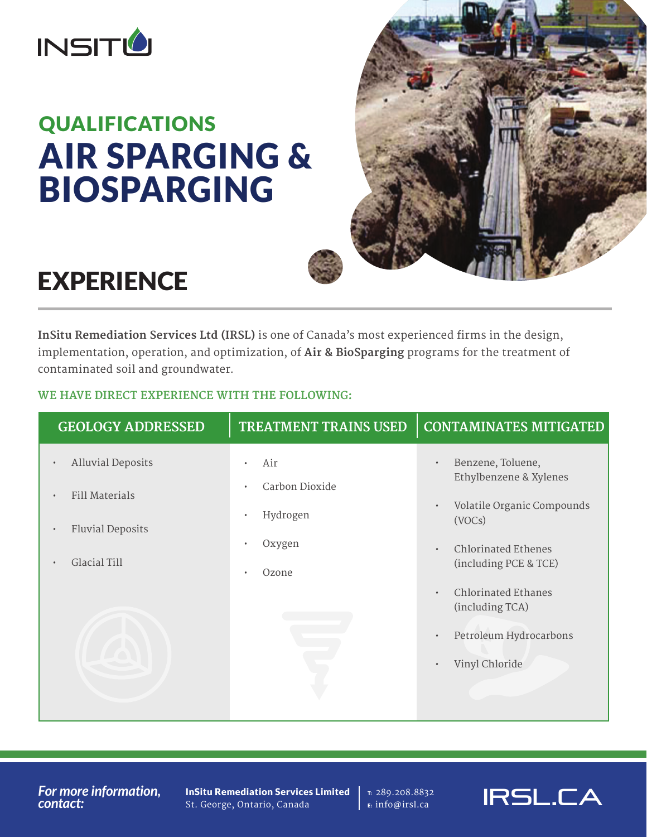

# QUALIFICATIONS AIR SPARGING & BIOSPARGING



# EXPERIENCE

**InSitu Remediation Services Ltd (IRSL)** is one of Canada's most experienced firms in the design, implementation, operation, and optimization, of **Air & BioSparging** programs for the treatment of contaminated soil and groundwater.

## **WE HAVE DIRECT EXPERIENCE WITH THE FOLLOWING:**

| <b>GEOLOGY ADDRESSED</b>              | <b>TREATMENT TRAINS USED</b> | <b>CONTAMINATES MITIGATED</b>                              |
|---------------------------------------|------------------------------|------------------------------------------------------------|
| <b>Alluvial Deposits</b><br>$\bullet$ | Air<br>$\bullet$             | Benzene, Toluene,                                          |
| <b>Fill Materials</b>                 | Carbon Dioxide<br>$\bullet$  | Ethylbenzene & Xylenes                                     |
|                                       | Hydrogen<br>$\bullet$        | Volatile Organic Compounds<br>$\bullet$<br>(VOCs)          |
| <b>Fluvial Deposits</b>               | Oxygen<br>$\bullet$          | <b>Chlorinated Ethenes</b><br>$\bullet$                    |
| Glacial Till                          | Ozone<br>$\bullet$           | (including PCE & TCE)                                      |
|                                       |                              | <b>Chlorinated Ethanes</b><br>$\bullet$<br>(including TCA) |
|                                       |                              | Petroleum Hydrocarbons                                     |
|                                       |                              |                                                            |
|                                       |                              | Vinyl Chloride                                             |
|                                       |                              |                                                            |

*For more information, contact:*

InSitu Remediation Services Limited St. George, Ontario, Canada

T: 289.208.8832